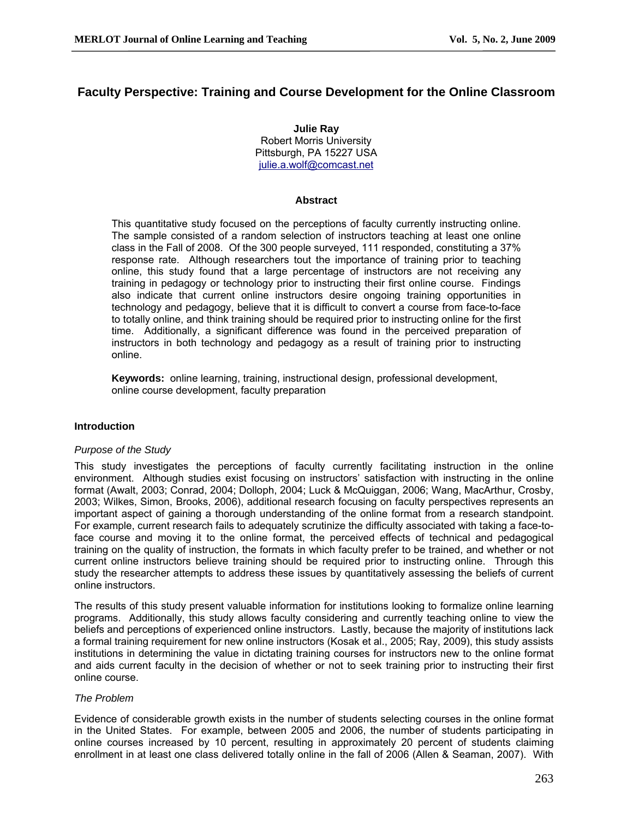# **Faculty Perspective: Training and Course Development for the Online Classroom**

**Julie Ray**  Robert Morris University Pittsburgh, PA 15227 USA julie.a.wolf@comcast.net

## **Abstract**

This quantitative study focused on the perceptions of faculty currently instructing online. The sample consisted of a random selection of instructors teaching at least one online class in the Fall of 2008. Of the 300 people surveyed, 111 responded, constituting a 37% response rate. Although researchers tout the importance of training prior to teaching online, this study found that a large percentage of instructors are not receiving any training in pedagogy or technology prior to instructing their first online course. Findings also indicate that current online instructors desire ongoing training opportunities in technology and pedagogy, believe that it is difficult to convert a course from face-to-face to totally online, and think training should be required prior to instructing online for the first time. Additionally, a significant difference was found in the perceived preparation of instructors in both technology and pedagogy as a result of training prior to instructing online.

**Keywords:** online learning, training, instructional design, professional development, online course development, faculty preparation

# **Introduction**

# *Purpose of the Study*

This study investigates the perceptions of faculty currently facilitating instruction in the online environment. Although studies exist focusing on instructors' satisfaction with instructing in the online format (Awalt, 2003; Conrad, 2004; Dolloph, 2004; Luck & McQuiggan, 2006; Wang, MacArthur, Crosby, 2003; Wilkes, Simon, Brooks, 2006), additional research focusing on faculty perspectives represents an important aspect of gaining a thorough understanding of the online format from a research standpoint. For example, current research fails to adequately scrutinize the difficulty associated with taking a face-toface course and moving it to the online format, the perceived effects of technical and pedagogical training on the quality of instruction, the formats in which faculty prefer to be trained, and whether or not current online instructors believe training should be required prior to instructing online. Through this study the researcher attempts to address these issues by quantitatively assessing the beliefs of current online instructors.

The results of this study present valuable information for institutions looking to formalize online learning programs. Additionally, this study allows faculty considering and currently teaching online to view the beliefs and perceptions of experienced online instructors. Lastly, because the majority of institutions lack a formal training requirement for new online instructors (Kosak et al., 2005; Ray, 2009), this study assists institutions in determining the value in dictating training courses for instructors new to the online format and aids current faculty in the decision of whether or not to seek training prior to instructing their first online course.

# *The Problem*

Evidence of considerable growth exists in the number of students selecting courses in the online format in the United States. For example, between 2005 and 2006, the number of students participating in online courses increased by 10 percent, resulting in approximately 20 percent of students claiming enrollment in at least one class delivered totally online in the fall of 2006 (Allen & Seaman, 2007). With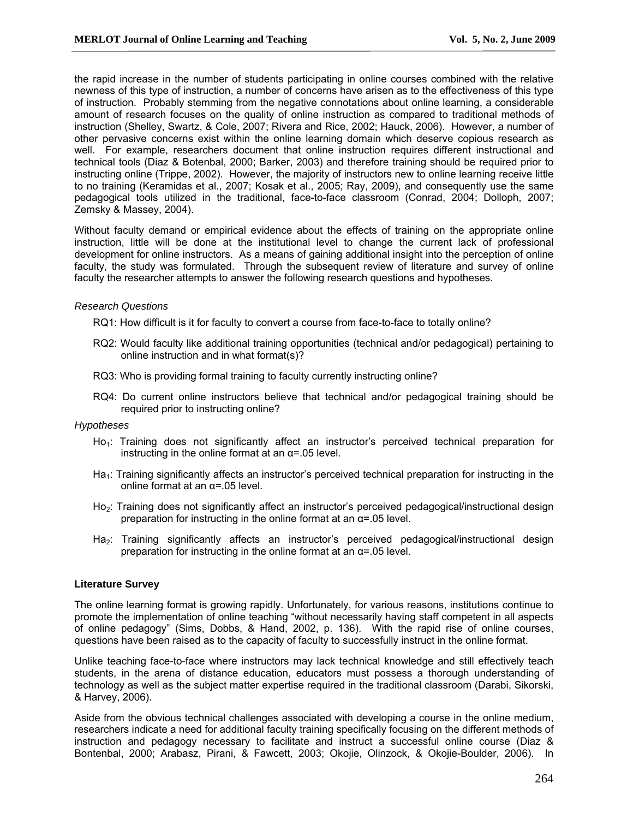the rapid increase in the number of students participating in online courses combined with the relative newness of this type of instruction, a number of concerns have arisen as to the effectiveness of this type of instruction. Probably stemming from the negative connotations about online learning, a considerable amount of research focuses on the quality of online instruction as compared to traditional methods of instruction (Shelley, Swartz, & Cole, 2007; Rivera and Rice, 2002; Hauck, 2006). However, a number of other pervasive concerns exist within the online learning domain which deserve copious research as well. For example, researchers document that online instruction requires different instructional and technical tools (Diaz & Botenbal, 2000; Barker, 2003) and therefore training should be required prior to instructing online (Trippe, 2002). However, the majority of instructors new to online learning receive little to no training (Keramidas et al., 2007; Kosak et al., 2005; Ray, 2009), and consequently use the same pedagogical tools utilized in the traditional, face-to-face classroom (Conrad, 2004; Dolloph, 2007; Zemsky & Massey, 2004).

Without faculty demand or empirical evidence about the effects of training on the appropriate online instruction, little will be done at the institutional level to change the current lack of professional development for online instructors. As a means of gaining additional insight into the perception of online faculty, the study was formulated. Through the subsequent review of literature and survey of online faculty the researcher attempts to answer the following research questions and hypotheses.

#### *Research Questions*

- RQ1: How difficult is it for faculty to convert a course from face-to-face to totally online?
- RQ2: Would faculty like additional training opportunities (technical and/or pedagogical) pertaining to online instruction and in what format(s)?
- RQ3: Who is providing formal training to faculty currently instructing online?
- RQ4: Do current online instructors believe that technical and/or pedagogical training should be required prior to instructing online?

#### *Hypotheses*

- Ho<sub>1</sub>: Training does not significantly affect an instructor's perceived technical preparation for instructing in the online format at an  $\alpha$ =.05 level.
- Ha<sub>1</sub>: Training significantly affects an instructor's perceived technical preparation for instructing in the online format at an α=.05 level.
- Ho<sub>2</sub>: Training does not significantly affect an instructor's perceived pedagogical/instructional design preparation for instructing in the online format at an α=.05 level.
- Ha<sub>2</sub>: Training significantly affects an instructor's perceived pedagogical/instructional design preparation for instructing in the online format at an α=.05 level.

# **Literature Survey**

The online learning format is growing rapidly. Unfortunately, for various reasons, institutions continue to promote the implementation of online teaching "without necessarily having staff competent in all aspects of online pedagogy" (Sims, Dobbs, & Hand, 2002, p. 136). With the rapid rise of online courses, questions have been raised as to the capacity of faculty to successfully instruct in the online format.

Unlike teaching face-to-face where instructors may lack technical knowledge and still effectively teach students, in the arena of distance education, educators must possess a thorough understanding of technology as well as the subject matter expertise required in the traditional classroom (Darabi, Sikorski, & Harvey, 2006).

Aside from the obvious technical challenges associated with developing a course in the online medium, researchers indicate a need for additional faculty training specifically focusing on the different methods of instruction and pedagogy necessary to facilitate and instruct a successful online course (Diaz & Bontenbal, 2000; Arabasz, Pirani, & Fawcett, 2003; Okojie, Olinzock, & Okojie-Boulder, 2006). In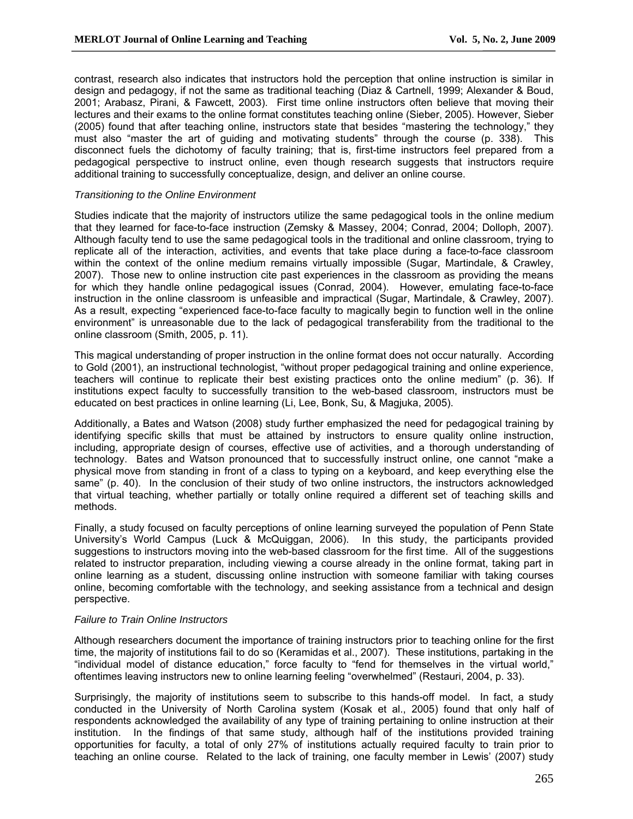contrast, research also indicates that instructors hold the perception that online instruction is similar in design and pedagogy, if not the same as traditional teaching (Diaz & Cartnell, 1999; Alexander & Boud, 2001; Arabasz, Pirani, & Fawcett, 2003). First time online instructors often believe that moving their lectures and their exams to the online format constitutes teaching online (Sieber, 2005). However, Sieber (2005) found that after teaching online, instructors state that besides "mastering the technology," they must also "master the art of guiding and motivating students" through the course (p. 338). This disconnect fuels the dichotomy of faculty training; that is, first-time instructors feel prepared from a pedagogical perspective to instruct online, even though research suggests that instructors require additional training to successfully conceptualize, design, and deliver an online course.

# *Transitioning to the Online Environment*

Studies indicate that the majority of instructors utilize the same pedagogical tools in the online medium that they learned for face-to-face instruction (Zemsky & Massey, 2004; Conrad, 2004; Dolloph, 2007). Although faculty tend to use the same pedagogical tools in the traditional and online classroom, trying to replicate all of the interaction, activities, and events that take place during a face-to-face classroom within the context of the online medium remains virtually impossible (Sugar, Martindale, & Crawley, 2007). Those new to online instruction cite past experiences in the classroom as providing the means for which they handle online pedagogical issues (Conrad, 2004). However, emulating face-to-face instruction in the online classroom is unfeasible and impractical (Sugar, Martindale, & Crawley, 2007). As a result, expecting "experienced face-to-face faculty to magically begin to function well in the online environment" is unreasonable due to the lack of pedagogical transferability from the traditional to the online classroom (Smith, 2005, p. 11).

This magical understanding of proper instruction in the online format does not occur naturally. According to Gold (2001), an instructional technologist, "without proper pedagogical training and online experience, teachers will continue to replicate their best existing practices onto the online medium" (p. 36). If institutions expect faculty to successfully transition to the web-based classroom, instructors must be educated on best practices in online learning (Li, Lee, Bonk, Su, & Magjuka, 2005).

Additionally, a Bates and Watson (2008) study further emphasized the need for pedagogical training by identifying specific skills that must be attained by instructors to ensure quality online instruction, including, appropriate design of courses, effective use of activities, and a thorough understanding of technology. Bates and Watson pronounced that to successfully instruct online, one cannot "make a physical move from standing in front of a class to typing on a keyboard, and keep everything else the same" (p. 40). In the conclusion of their study of two online instructors, the instructors acknowledged that virtual teaching, whether partially or totally online required a different set of teaching skills and methods.

Finally, a study focused on faculty perceptions of online learning surveyed the population of Penn State University's World Campus (Luck & McQuiggan, 2006). In this study, the participants provided suggestions to instructors moving into the web-based classroom for the first time. All of the suggestions related to instructor preparation, including viewing a course already in the online format, taking part in online learning as a student, discussing online instruction with someone familiar with taking courses online, becoming comfortable with the technology, and seeking assistance from a technical and design perspective.

#### *Failure to Train Online Instructors*

Although researchers document the importance of training instructors prior to teaching online for the first time, the majority of institutions fail to do so (Keramidas et al., 2007). These institutions, partaking in the "individual model of distance education," force faculty to "fend for themselves in the virtual world," oftentimes leaving instructors new to online learning feeling "overwhelmed" (Restauri, 2004, p. 33).

Surprisingly, the majority of institutions seem to subscribe to this hands-off model. In fact, a study conducted in the University of North Carolina system (Kosak et al., 2005) found that only half of respondents acknowledged the availability of any type of training pertaining to online instruction at their institution. In the findings of that same study, although half of the institutions provided training opportunities for faculty, a total of only 27% of institutions actually required faculty to train prior to teaching an online course. Related to the lack of training, one faculty member in Lewis' (2007) study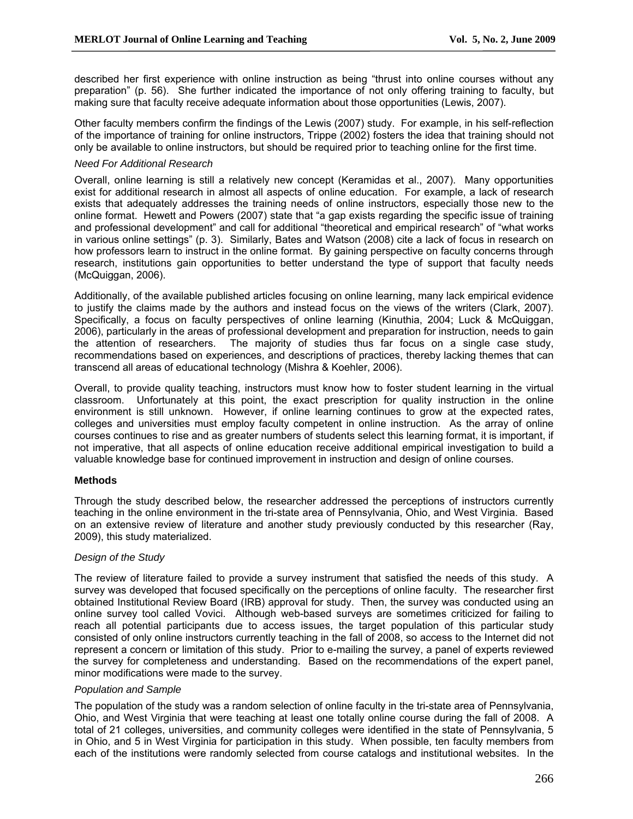described her first experience with online instruction as being "thrust into online courses without any preparation" (p. 56). She further indicated the importance of not only offering training to faculty, but making sure that faculty receive adequate information about those opportunities (Lewis, 2007).

Other faculty members confirm the findings of the Lewis (2007) study. For example, in his self-reflection of the importance of training for online instructors, Trippe (2002) fosters the idea that training should not only be available to online instructors, but should be required prior to teaching online for the first time.

## *Need For Additional Research*

Overall, online learning is still a relatively new concept (Keramidas et al., 2007). Many opportunities exist for additional research in almost all aspects of online education. For example, a lack of research exists that adequately addresses the training needs of online instructors, especially those new to the online format. Hewett and Powers (2007) state that "a gap exists regarding the specific issue of training and professional development" and call for additional "theoretical and empirical research" of "what works in various online settings" (p. 3). Similarly, Bates and Watson (2008) cite a lack of focus in research on how professors learn to instruct in the online format. By gaining perspective on faculty concerns through research, institutions gain opportunities to better understand the type of support that faculty needs (McQuiggan, 2006).

Additionally, of the available published articles focusing on online learning, many lack empirical evidence to justify the claims made by the authors and instead focus on the views of the writers (Clark, 2007). Specifically, a focus on faculty perspectives of online learning (Kinuthia, 2004; Luck & McQuiggan, 2006), particularly in the areas of professional development and preparation for instruction, needs to gain the attention of researchers. The majority of studies thus far focus on a single case study, recommendations based on experiences, and descriptions of practices, thereby lacking themes that can transcend all areas of educational technology (Mishra & Koehler, 2006).

Overall, to provide quality teaching, instructors must know how to foster student learning in the virtual classroom. Unfortunately at this point, the exact prescription for quality instruction in the online environment is still unknown. However, if online learning continues to grow at the expected rates, colleges and universities must employ faculty competent in online instruction. As the array of online courses continues to rise and as greater numbers of students select this learning format, it is important, if not imperative, that all aspects of online education receive additional empirical investigation to build a valuable knowledge base for continued improvement in instruction and design of online courses.

# **Methods**

Through the study described below, the researcher addressed the perceptions of instructors currently teaching in the online environment in the tri-state area of Pennsylvania, Ohio, and West Virginia. Based on an extensive review of literature and another study previously conducted by this researcher (Ray, 2009), this study materialized.

# *Design of the Study*

The review of literature failed to provide a survey instrument that satisfied the needs of this study. A survey was developed that focused specifically on the perceptions of online faculty. The researcher first obtained Institutional Review Board (IRB) approval for study. Then, the survey was conducted using an online survey tool called Vovici. Although web-based surveys are sometimes criticized for failing to reach all potential participants due to access issues, the target population of this particular study consisted of only online instructors currently teaching in the fall of 2008, so access to the Internet did not represent a concern or limitation of this study. Prior to e-mailing the survey, a panel of experts reviewed the survey for completeness and understanding. Based on the recommendations of the expert panel, minor modifications were made to the survey.

#### *Population and Sample*

The population of the study was a random selection of online faculty in the tri-state area of Pennsylvania, Ohio, and West Virginia that were teaching at least one totally online course during the fall of 2008. A total of 21 colleges, universities, and community colleges were identified in the state of Pennsylvania, 5 in Ohio, and 5 in West Virginia for participation in this study. When possible, ten faculty members from each of the institutions were randomly selected from course catalogs and institutional websites. In the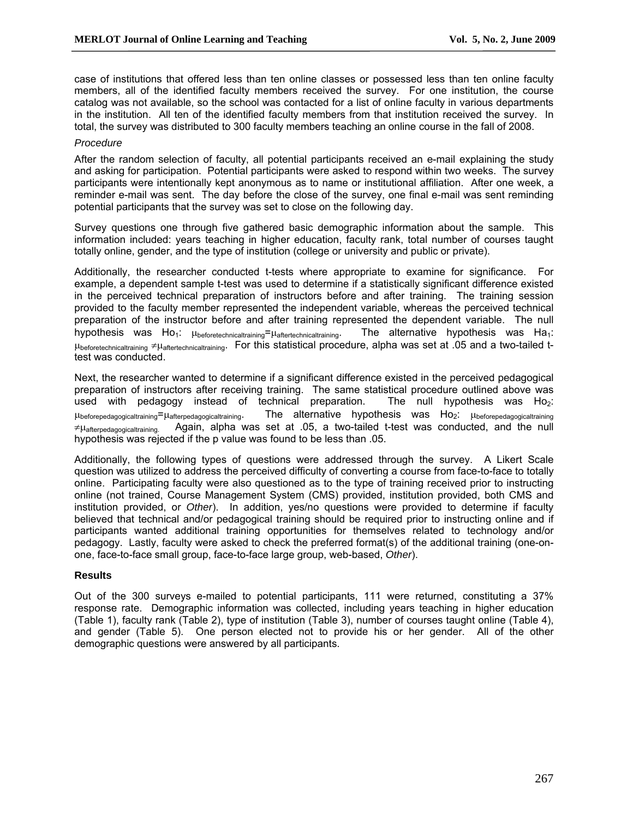case of institutions that offered less than ten online classes or possessed less than ten online faculty members, all of the identified faculty members received the survey. For one institution, the course catalog was not available, so the school was contacted for a list of online faculty in various departments in the institution. All ten of the identified faculty members from that institution received the survey. In total, the survey was distributed to 300 faculty members teaching an online course in the fall of 2008.

# *Procedure*

After the random selection of faculty, all potential participants received an e-mail explaining the study and asking for participation. Potential participants were asked to respond within two weeks. The survey participants were intentionally kept anonymous as to name or institutional affiliation. After one week, a reminder e-mail was sent. The day before the close of the survey, one final e-mail was sent reminding potential participants that the survey was set to close on the following day.

Survey questions one through five gathered basic demographic information about the sample. This information included: years teaching in higher education, faculty rank, total number of courses taught totally online, gender, and the type of institution (college or university and public or private).

Additionally, the researcher conducted t-tests where appropriate to examine for significance. For example, a dependent sample t-test was used to determine if a statistically significant difference existed in the perceived technical preparation of instructors before and after training. The training session provided to the faculty member represented the independent variable, whereas the perceived technical preparation of the instructor before and after training represented the dependent variable. The null hypothesis was Ho<sub>1</sub>: μ<sub>beforetechnicaltraining</sub>=μaftertechnicaltraining. The alternative hypothesis was Ha<sub>1</sub>: μbeforetechnicaltraining ≠μaftertechnicaltraining. For this statistical procedure, alpha was set at .05 and a two-tailed ttest was conducted.

Next, the researcher wanted to determine if a significant difference existed in the perceived pedagogical preparation of instructors after receiving training. The same statistical procedure outlined above was used with pedagogy instead of technical preparation. The null hypothesis was Ho<sub>2</sub>: μbeforepedagogicaltraining=μafterpedagogicaltraining. The alternative hypothesis was Ho2: μbeforepedagogicaltraining ≠μafterpedagogicaltraining. Again, alpha was set at .05, a two-tailed t-test was conducted, and the null hypothesis was rejected if the p value was found to be less than .05.

Additionally, the following types of questions were addressed through the survey. A Likert Scale question was utilized to address the perceived difficulty of converting a course from face-to-face to totally online. Participating faculty were also questioned as to the type of training received prior to instructing online (not trained, Course Management System (CMS) provided, institution provided, both CMS and institution provided, or *Other*). In addition, yes/no questions were provided to determine if faculty believed that technical and/or pedagogical training should be required prior to instructing online and if participants wanted additional training opportunities for themselves related to technology and/or pedagogy. Lastly, faculty were asked to check the preferred format(s) of the additional training (one-onone, face-to-face small group, face-to-face large group, web-based, *Other*).

# **Results**

Out of the 300 surveys e-mailed to potential participants, 111 were returned, constituting a 37% response rate. Demographic information was collected, including years teaching in higher education (Table 1), faculty rank (Table 2), type of institution (Table 3), number of courses taught online (Table 4), and gender (Table 5). One person elected not to provide his or her gender. All of the other demographic questions were answered by all participants.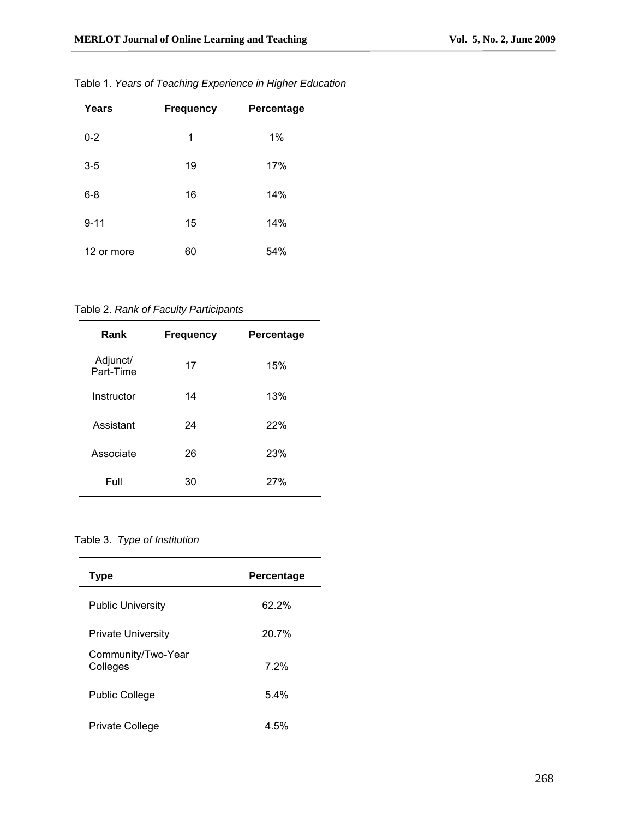| Years      | <b>Frequency</b> | Percentage |
|------------|------------------|------------|
| $0 - 2$    | 1                | 1%         |
| $3-5$      | 19               | 17%        |
| $6 - 8$    | 16               | 14%        |
| $9 - 11$   | 15               | 14%        |
| 12 or more | 60               | 54%        |

Table 1. *Years of Teaching Experience in Higher Education*

Table 2. *Rank of Faculty Participants* 

| Rank                  | <b>Frequency</b> | Percentage |
|-----------------------|------------------|------------|
| Adjunct/<br>Part-Time | 17               | 15%        |
| Instructor            | 14               | 13%        |
| Assistant             | 24               | 22%        |
| Associate             | 26               | 23%        |
| Full                  | 30               | 27%        |

Table 3. *Type of Institution*

| Type                           | Percentage |
|--------------------------------|------------|
| <b>Public University</b>       | 62.2%      |
| <b>Private University</b>      | 20.7%      |
| Community/Two-Year<br>Colleges | $7.2\%$    |
| <b>Public College</b>          | 5.4%       |
| Private College                | 4.5%       |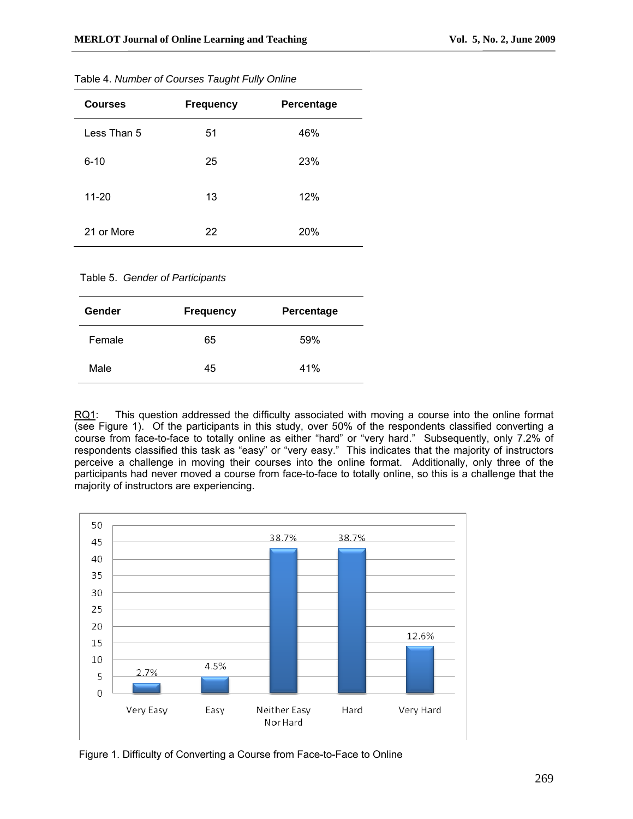| <b>Courses</b> | <b>Frequency</b> | Percentage |
|----------------|------------------|------------|
| Less Than 5    | 51               | 46%        |
| $6 - 10$       | 25               | 23%        |
| $11 - 20$      | 13               | 12%        |
| 21 or More     | 22               | 20%        |

Table 4. *Number of Courses Taught Fully Online*

Table 5. *Gender of Participants*

| Gender | <b>Frequency</b> | Percentage |
|--------|------------------|------------|
| Female | 65               | 59%        |
| Male   | 45               | 41%        |

RQ1: This question addressed the difficulty associated with moving a course into the online format (see Figure 1). Of the participants in this study, over 50% of the respondents classified converting a course from face-to-face to totally online as either "hard" or "very hard." Subsequently, only 7.2% of respondents classified this task as "easy" or "very easy." This indicates that the majority of instructors perceive a challenge in moving their courses into the online format. Additionally, only three of the participants had never moved a course from face-to-face to totally online, so this is a challenge that the majority of instructors are experiencing.



Figure 1. Difficulty of Converting a Course from Face-to-Face to Online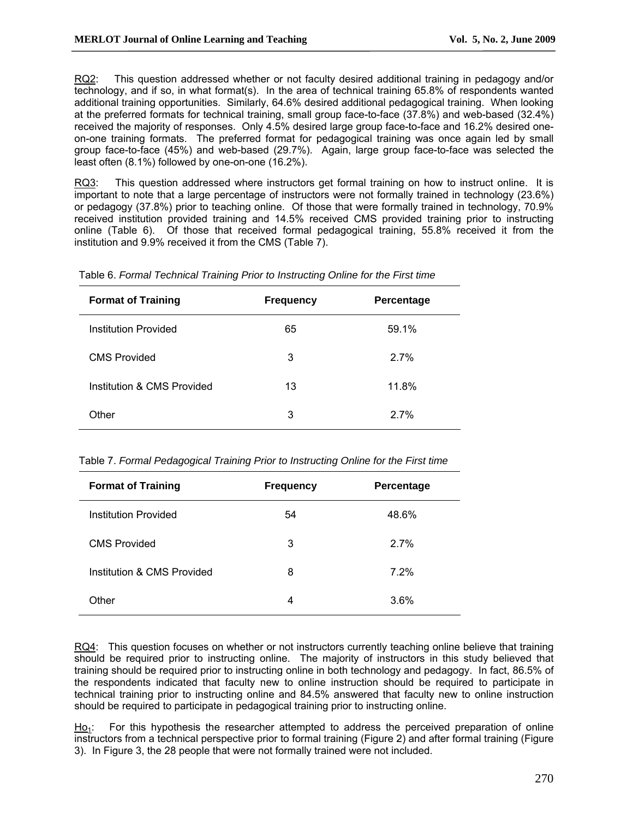RQ2: This question addressed whether or not faculty desired additional training in pedagogy and/or technology, and if so, in what format(s). In the area of technical training 65.8% of respondents wanted additional training opportunities. Similarly, 64.6% desired additional pedagogical training. When looking at the preferred formats for technical training, small group face-to-face (37.8%) and web-based (32.4%) received the majority of responses. Only 4.5% desired large group face-to-face and 16.2% desired oneon-one training formats. The preferred format for pedagogical training was once again led by small group face-to-face (45%) and web-based (29.7%). Again, large group face-to-face was selected the least often (8.1%) followed by one-on-one (16.2%).

RQ3: This question addressed where instructors get formal training on how to instruct online. It is important to note that a large percentage of instructors were not formally trained in technology (23.6%) or pedagogy (37.8%) prior to teaching online. Of those that were formally trained in technology, 70.9% received institution provided training and 14.5% received CMS provided training prior to instructing online (Table 6). Of those that received formal pedagogical training, 55.8% received it from the institution and 9.9% received it from the CMS (Table 7).

|  |  | Table 6. Formal Technical Training Prior to Instructing Online for the First time |
|--|--|-----------------------------------------------------------------------------------|
|  |  |                                                                                   |

| <b>Format of Training</b>  | <b>Frequency</b> | Percentage |
|----------------------------|------------------|------------|
| Institution Provided       | 65               | 59.1%      |
| <b>CMS Provided</b>        | 3                | 2.7%       |
| Institution & CMS Provided | 13               | 11.8%      |
| Other                      | 3                | 2.7%       |

Table 7. *Formal Pedagogical Training Prior to Instructing Online for the First time*

| <b>Format of Training</b>  | <b>Frequency</b> | Percentage |
|----------------------------|------------------|------------|
| Institution Provided       | 54               | 48.6%      |
| <b>CMS Provided</b>        | 3                | 2.7%       |
| Institution & CMS Provided | 8                | 7.2%       |
| Other                      | 4                | 3.6%       |

RQ4: This question focuses on whether or not instructors currently teaching online believe that training should be required prior to instructing online. The majority of instructors in this study believed that training should be required prior to instructing online in both technology and pedagogy. In fact, 86.5% of the respondents indicated that faculty new to online instruction should be required to participate in technical training prior to instructing online and 84.5% answered that faculty new to online instruction should be required to participate in pedagogical training prior to instructing online.

 $H_0$ : For this hypothesis the researcher attempted to address the perceived preparation of online instructors from a technical perspective prior to formal training (Figure 2) and after formal training (Figure 3). In Figure 3, the 28 people that were not formally trained were not included.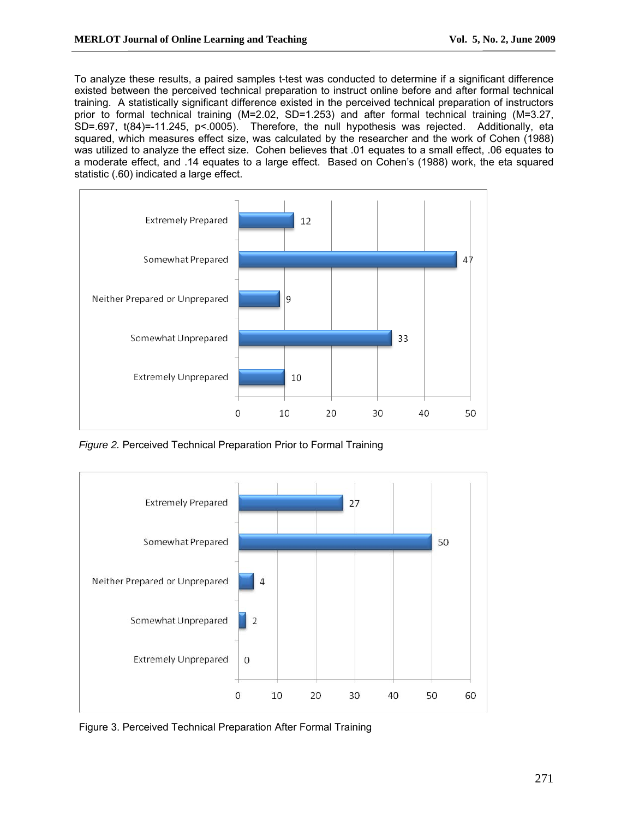To analyze these results, a paired samples t-test was conducted to determine if a significant difference existed between the perceived technical preparation to instruct online before and after formal technical training. A statistically significant difference existed in the perceived technical preparation of instructors prior to formal technical training (M=2.02, SD=1.253) and after formal technical training (M=3.27, SD=.697, t(84)=-11.245, p<.0005). Therefore, the null hypothesis was rejected. Additionally, eta squared, which measures effect size, was calculated by the researcher and the work of Cohen (1988) was utilized to analyze the effect size. Cohen believes that .01 equates to a small effect, .06 equates to a moderate effect, and .14 equates to a large effect. Based on Cohen's (1988) work, the eta squared statistic (.60) indicated a large effect.



*Figure 2.* Perceived Technical Preparation Prior to Formal Training



Figure 3. Perceived Technical Preparation After Formal Training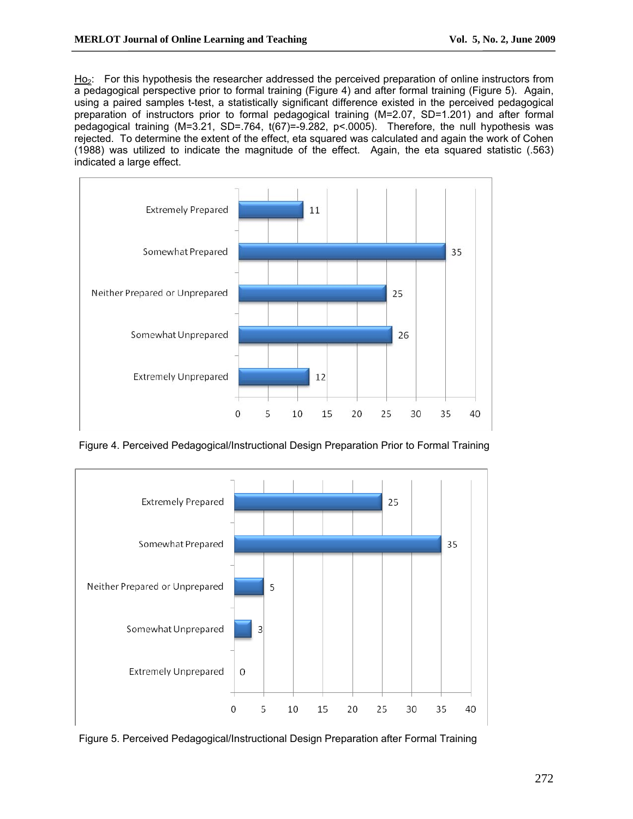Ho<sub>2</sub>: For this hypothesis the researcher addressed the perceived preparation of online instructors from a pedagogical perspective prior to formal training (Figure 4) and after formal training (Figure 5). Again, using a paired samples t-test, a statistically significant difference existed in the perceived pedagogical preparation of instructors prior to formal pedagogical training (M=2.07, SD=1.201) and after formal pedagogical training (M=3.21, SD=.764, t(67)=-9.282, p<.0005). Therefore, the null hypothesis was rejected. To determine the extent of the effect, eta squared was calculated and again the work of Cohen (1988) was utilized to indicate the magnitude of the effect. Again, the eta squared statistic (.563) indicated a large effect.



Figure 4. Perceived Pedagogical/Instructional Design Preparation Prior to Formal Training



Figure 5. Perceived Pedagogical/Instructional Design Preparation after Formal Training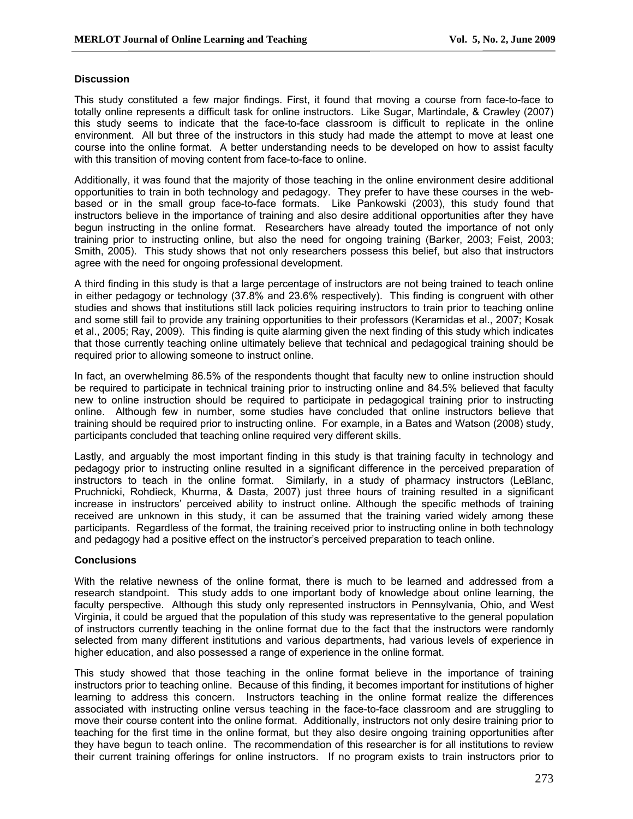# **Discussion**

This study constituted a few major findings. First, it found that moving a course from face-to-face to totally online represents a difficult task for online instructors. Like Sugar, Martindale, & Crawley (2007) this study seems to indicate that the face-to-face classroom is difficult to replicate in the online environment. All but three of the instructors in this study had made the attempt to move at least one course into the online format. A better understanding needs to be developed on how to assist faculty with this transition of moving content from face-to-face to online.

Additionally, it was found that the majority of those teaching in the online environment desire additional opportunities to train in both technology and pedagogy. They prefer to have these courses in the webbased or in the small group face-to-face formats. Like Pankowski (2003), this study found that instructors believe in the importance of training and also desire additional opportunities after they have begun instructing in the online format. Researchers have already touted the importance of not only training prior to instructing online, but also the need for ongoing training (Barker, 2003; Feist, 2003; Smith, 2005). This study shows that not only researchers possess this belief, but also that instructors agree with the need for ongoing professional development.

A third finding in this study is that a large percentage of instructors are not being trained to teach online in either pedagogy or technology (37.8% and 23.6% respectively). This finding is congruent with other studies and shows that institutions still lack policies requiring instructors to train prior to teaching online and some still fail to provide any training opportunities to their professors (Keramidas et al., 2007; Kosak et al., 2005; Ray, 2009). This finding is quite alarming given the next finding of this study which indicates that those currently teaching online ultimately believe that technical and pedagogical training should be required prior to allowing someone to instruct online.

In fact, an overwhelming 86.5% of the respondents thought that faculty new to online instruction should be required to participate in technical training prior to instructing online and 84.5% believed that faculty new to online instruction should be required to participate in pedagogical training prior to instructing online. Although few in number, some studies have concluded that online instructors believe that training should be required prior to instructing online. For example, in a Bates and Watson (2008) study, participants concluded that teaching online required very different skills.

Lastly, and arguably the most important finding in this study is that training faculty in technology and pedagogy prior to instructing online resulted in a significant difference in the perceived preparation of instructors to teach in the online format. Similarly, in a study of pharmacy instructors (LeBlanc, Pruchnicki, Rohdieck, Khurma, & Dasta, 2007) just three hours of training resulted in a significant increase in instructors' perceived ability to instruct online. Although the specific methods of training received are unknown in this study, it can be assumed that the training varied widely among these participants. Regardless of the format, the training received prior to instructing online in both technology and pedagogy had a positive effect on the instructor's perceived preparation to teach online.

# **Conclusions**

With the relative newness of the online format, there is much to be learned and addressed from a research standpoint. This study adds to one important body of knowledge about online learning, the faculty perspective. Although this study only represented instructors in Pennsylvania, Ohio, and West Virginia, it could be argued that the population of this study was representative to the general population of instructors currently teaching in the online format due to the fact that the instructors were randomly selected from many different institutions and various departments, had various levels of experience in higher education, and also possessed a range of experience in the online format.

This study showed that those teaching in the online format believe in the importance of training instructors prior to teaching online. Because of this finding, it becomes important for institutions of higher learning to address this concern. Instructors teaching in the online format realize the differences associated with instructing online versus teaching in the face-to-face classroom and are struggling to move their course content into the online format. Additionally, instructors not only desire training prior to teaching for the first time in the online format, but they also desire ongoing training opportunities after they have begun to teach online. The recommendation of this researcher is for all institutions to review their current training offerings for online instructors. If no program exists to train instructors prior to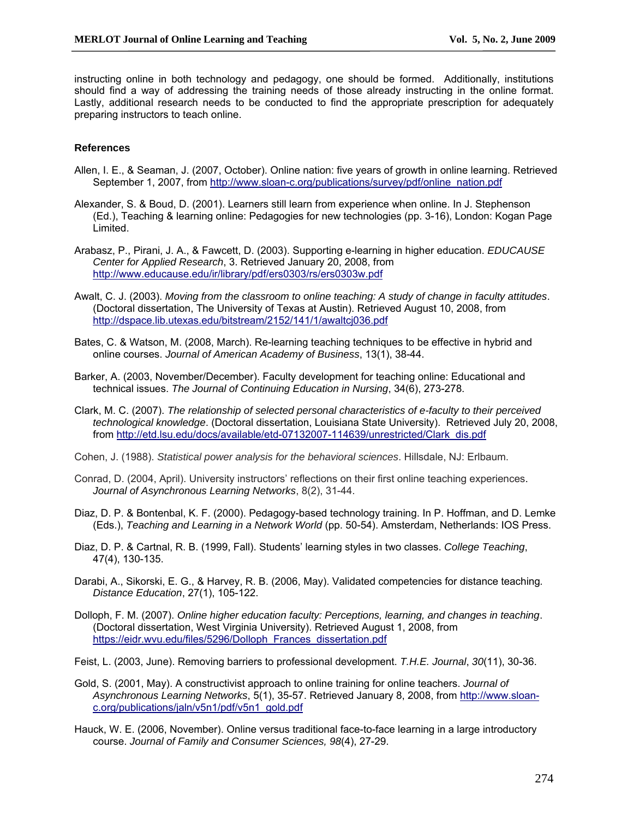instructing online in both technology and pedagogy, one should be formed. Additionally, institutions should find a way of addressing the training needs of those already instructing in the online format. Lastly, additional research needs to be conducted to find the appropriate prescription for adequately preparing instructors to teach online.

#### **References**

- Allen, I. E., & Seaman, J. (2007, October). Online nation: five years of growth in online learning. Retrieved September 1, 2007, from http://www.sloan-c.org/publications/survey/pdf/online\_nation.pdf
- Alexander, S. & Boud, D. (2001). Learners still learn from experience when online. In J. Stephenson (Ed.), Teaching & learning online: Pedagogies for new technologies (pp. 3-16), London: Kogan Page Limited.
- Arabasz, P., Pirani, J. A., & Fawcett, D. (2003). Supporting e-learning in higher education. *EDUCAUSE Center for Applied Research*, 3. Retrieved January 20, 2008, from http://www.educause.edu/ir/library/pdf/ers0303/rs/ers0303w.pdf
- Awalt, C. J. (2003). *Moving from the classroom to online teaching: A study of change in faculty attitudes*. (Doctoral dissertation, The University of Texas at Austin). Retrieved August 10, 2008, from http://dspace.lib.utexas.edu/bitstream/2152/141/1/awaltcj036.pdf
- Bates, C. & Watson, M. (2008, March). Re-learning teaching techniques to be effective in hybrid and online courses. *Journal of American Academy of Business*, 13(1), 38-44.
- Barker, A. (2003, November/December). Faculty development for teaching online: Educational and technical issues. *The Journal of Continuing Education in Nursing*, 34(6), 273-278.
- Clark, M. C. (2007). *The relationship of selected personal characteristics of e-faculty to their perceived technological knowledge*. (Doctoral dissertation, Louisiana State University). Retrieved July 20, 2008, from Hhttp://etd.lsu.edu/docs/available/etd-07132007-114639/unrestricted/Clark\_dis.pdf
- Cohen, J. (1988). *Statistical power analysis for the behavioral sciences*. Hillsdale, NJ: Erlbaum.
- Conrad, D. (2004, April). University instructors' reflections on their first online teaching experiences. *Journal of Asynchronous Learning Networks*, 8(2), 31-44.
- Diaz, D. P. & Bontenbal, K. F. (2000). Pedagogy-based technology training. In P. Hoffman, and D. Lemke (Eds.), *Teaching and Learning in a Network World* (pp. 50-54). Amsterdam, Netherlands: IOS Press.
- Diaz, D. P. & Cartnal, R. B. (1999, Fall). Students' learning styles in two classes. *College Teaching*, 47(4), 130-135.
- 1BDarabi, A., Sikorski, E. G., & Harvey, R. B. (2006, May). Validated competencies for distance teaching*. Distance Education*, 27(1), 105-122.
- 2BDolloph, F. M. (2007). *Online higher education faculty: Perceptions, learning, and changes in teaching*. (Doctoral dissertation, West Virginia University). Retrieved August 1, 2008, from https://eidr.wvu.edu/files/5296/Dolloph\_Frances\_dissertation.pdf
- 3BFeist, L. (2003, June). Removing barriers to professional development. *T.H.E. Journal*, *30*(11), 30-36.
- 4BGold, S. (2001, May). A constructivist approach to online training for online teachers. *Journal of Asynchronous Learning Networks*, 5(1), 35-57. Retrieved January 8, 2008, from Hhttp://www.sloanc.org/publications/jaln/v5n1/pdf/v5n1\_gold.pdf
- Hauck, W. E. (2006, November). Online versus traditional face-to-face learning in a large introductory course. *Journal of Family and Consumer Sciences, 98*(4), 27-29.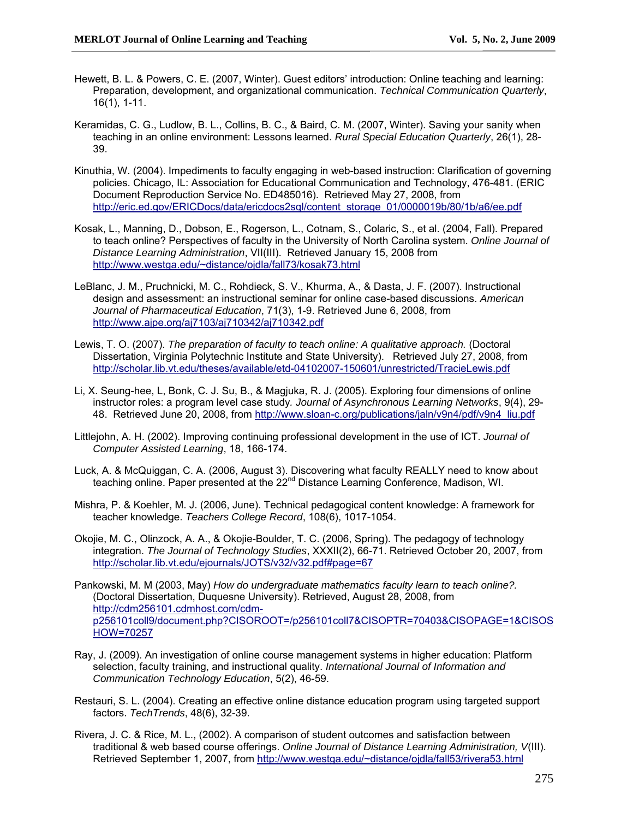- Hewett, B. L. & Powers, C. E. (2007, Winter). Guest editors' introduction: Online teaching and learning: Preparation, development, and organizational communication. *Technical Communication Quarterly*, 16(1), 1-11.
- Keramidas, C. G., Ludlow, B. L., Collins, B. C., & Baird, C. M. (2007, Winter). Saving your sanity when teaching in an online environment: Lessons learned. *Rural Special Education Quarterly*, 26(1), 28- 39.
- Kinuthia, W. (2004). Impediments to faculty engaging in web-based instruction: Clarification of governing policies. Chicago, IL: Association for Educational Communication and Technology, 476-481. (ERIC Document Reproduction Service No. ED485016). Retrieved May 27, 2008, from http://eric.ed.gov/ERICDocs/data/ericdocs2sql/content\_storage\_01/0000019b/80/1b/a6/ee.pdf
- Kosak, L., Manning, D., Dobson, E., Rogerson, L., Cotnam, S., Colaric, S., et al. (2004, Fall). Prepared to teach online? Perspectives of faculty in the University of North Carolina system. *Online Journal of Distance Learning Administration*, VII(III). Retrieved January 15, 2008 from http://www.westga.edu/~distance/oidla/fall73/kosak73.html
- LeBlanc, J. M., Pruchnicki, M. C., Rohdieck, S. V., Khurma, A., & Dasta, J. F. (2007). Instructional design and assessment: an instructional seminar for online case-based discussions. *American Journal of Pharmaceutical Education*, 71(3), 1-9. Retrieved June 6, 2008, from http://www.ajpe.org/aj7103/aj710342/aj710342.pdf
- Lewis, T. O. (2007). *The preparation of faculty to teach online: A qualitative approach.* (Doctoral Dissertation, Virginia Polytechnic Institute and State University). Retrieved July 27, 2008, from <sup>H</sup>http://scholar.lib.vt.edu/theses/available/etd-04102007-150601/unrestricted/TracieLewis.pdf
- Li, X. Seung-hee, L, Bonk, C. J. Su, B., & Magjuka, R. J. (2005). Exploring four dimensions of online instructor roles: a program level case study*. Journal of Asynchronous Learning Networks*, 9(4), 29- 48. Retrieved June 20, 2008, from http://www.sloan-c.org/publications/jaln/v9n4/pdf/v9n4\_liu.pdf
- Littlejohn, A. H. (2002). Improving continuing professional development in the use of ICT. *Journal of Computer Assisted Learning*, 18, 166-174.
- Luck, A. & McQuiggan, C. A. (2006, August 3). Discovering what faculty REALLY need to know about teaching online. Paper presented at the 22<sup>nd</sup> Distance Learning Conference, Madison, WI.
- Mishra, P. & Koehler, M. J. (2006, June). Technical pedagogical content knowledge: A framework for teacher knowledge. *Teachers College Record*, 108(6), 1017-1054.
- Okojie, M. C., Olinzock, A. A., & Okojie-Boulder, T. C. (2006, Spring). The pedagogy of technology integration. *The Journal of Technology Studies*, XXXII(2), 66-71. Retrieved October 20, 2007, from http://scholar.lib.vt.edu/ejournals/JOTS/v32/v32.pdf#page=67
- Pankowski, M. M (2003, May) *How do undergraduate mathematics faculty learn to teach online?.*  (Doctoral Dissertation, Duquesne University). Retrieved, August 28, 2008, from http://cdm256101.cdmhost.com/cdmp256101coll9/document.php?CISOROOT=/p256101coll7&CISOPTR=70403&CISOPAGE=1&CISOS HOW=70257
- 5BRay, J. (2009). An investigation of online course management systems in higher education: Platform selection, faculty training, and instructional quality. *International Journal of Information and Communication Technology Education*, 5(2), 46-59.
- 6BRestauri, S. L. (2004). Creating an effective online distance education program using targeted support factors. *TechTrends*, 48(6), 32-39.
- Rivera, J. C. & Rice, M. L., (2002). A comparison of student outcomes and satisfaction between traditional & web based course offerings. *Online Journal of Distance Learning Administration, V*(III). Retrieved September 1, 2007, from http://www.westga.edu/~distance/ojdla/fall53/rivera53.html